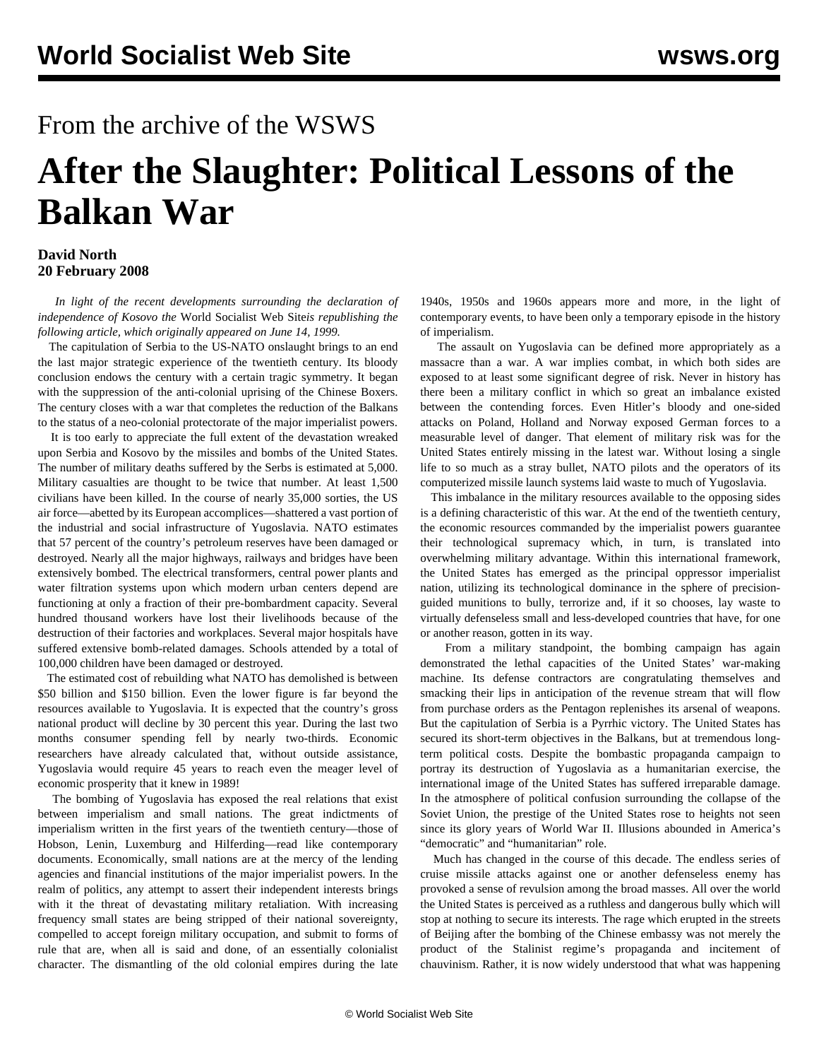## From the archive of the WSWS

## **After the Slaughter: Political Lessons of the Balkan War**

## **David North 20 February 2008**

 *In light of the recent developments surrounding the declaration of independence of Kosovo the* World Socialist Web Site*is republishing the following article, which originally appeared on June 14, 1999.*

 The capitulation of Serbia to the US-NATO onslaught brings to an end the last major strategic experience of the twentieth century. Its bloody conclusion endows the century with a certain tragic symmetry. It began with the suppression of the anti-colonial uprising of the Chinese Boxers. The century closes with a war that completes the reduction of the Balkans to the status of a neo-colonial protectorate of the major imperialist powers.

 It is too early to appreciate the full extent of the devastation wreaked upon Serbia and Kosovo by the missiles and bombs of the United States. The number of military deaths suffered by the Serbs is estimated at 5,000. Military casualties are thought to be twice that number. At least 1,500 civilians have been killed. In the course of nearly 35,000 sorties, the US air force—abetted by its European accomplices—shattered a vast portion of the industrial and social infrastructure of Yugoslavia. NATO estimates that 57 percent of the country's petroleum reserves have been damaged or destroyed. Nearly all the major highways, railways and bridges have been extensively bombed. The electrical transformers, central power plants and water filtration systems upon which modern urban centers depend are functioning at only a fraction of their pre-bombardment capacity. Several hundred thousand workers have lost their livelihoods because of the destruction of their factories and workplaces. Several major hospitals have suffered extensive bomb-related damages. Schools attended by a total of 100,000 children have been damaged or destroyed.

 The estimated cost of rebuilding what NATO has demolished is between \$50 billion and \$150 billion. Even the lower figure is far beyond the resources available to Yugoslavia. It is expected that the country's gross national product will decline by 30 percent this year. During the last two months consumer spending fell by nearly two-thirds. Economic researchers have already calculated that, without outside assistance, Yugoslavia would require 45 years to reach even the meager level of economic prosperity that it knew in 1989!

 The bombing of Yugoslavia has exposed the real relations that exist between imperialism and small nations. The great indictments of imperialism written in the first years of the twentieth century—those of Hobson, Lenin, Luxemburg and Hilferding—read like contemporary documents. Economically, small nations are at the mercy of the lending agencies and financial institutions of the major imperialist powers. In the realm of politics, any attempt to assert their independent interests brings with it the threat of devastating military retaliation. With increasing frequency small states are being stripped of their national sovereignty, compelled to accept foreign military occupation, and submit to forms of rule that are, when all is said and done, of an essentially colonialist character. The dismantling of the old colonial empires during the late 1940s, 1950s and 1960s appears more and more, in the light of contemporary events, to have been only a temporary episode in the history of imperialism.

 The assault on Yugoslavia can be defined more appropriately as a massacre than a war. A war implies combat, in which both sides are exposed to at least some significant degree of risk. Never in history has there been a military conflict in which so great an imbalance existed between the contending forces. Even Hitler's bloody and one-sided attacks on Poland, Holland and Norway exposed German forces to a measurable level of danger. That element of military risk was for the United States entirely missing in the latest war. Without losing a single life to so much as a stray bullet, NATO pilots and the operators of its computerized missile launch systems laid waste to much of Yugoslavia.

 This imbalance in the military resources available to the opposing sides is a defining characteristic of this war. At the end of the twentieth century, the economic resources commanded by the imperialist powers guarantee their technological supremacy which, in turn, is translated into overwhelming military advantage. Within this international framework, the United States has emerged as the principal oppressor imperialist nation, utilizing its technological dominance in the sphere of precisionguided munitions to bully, terrorize and, if it so chooses, lay waste to virtually defenseless small and less-developed countries that have, for one or another reason, gotten in its way.

 From a military standpoint, the bombing campaign has again demonstrated the lethal capacities of the United States' war-making machine. Its defense contractors are congratulating themselves and smacking their lips in anticipation of the revenue stream that will flow from purchase orders as the Pentagon replenishes its arsenal of weapons. But the capitulation of Serbia is a Pyrrhic victory. The United States has secured its short-term objectives in the Balkans, but at tremendous longterm political costs. Despite the bombastic propaganda campaign to portray its destruction of Yugoslavia as a humanitarian exercise, the international image of the United States has suffered irreparable damage. In the atmosphere of political confusion surrounding the collapse of the Soviet Union, the prestige of the United States rose to heights not seen since its glory years of World War II. Illusions abounded in America's "democratic" and "humanitarian" role.

 Much has changed in the course of this decade. The endless series of cruise missile attacks against one or another defenseless enemy has provoked a sense of revulsion among the broad masses. All over the world the United States is perceived as a ruthless and dangerous bully which will stop at nothing to secure its interests. The rage which erupted in the streets of Beijing after the bombing of the Chinese embassy was not merely the product of the Stalinist regime's propaganda and incitement of chauvinism. Rather, it is now widely understood that what was happening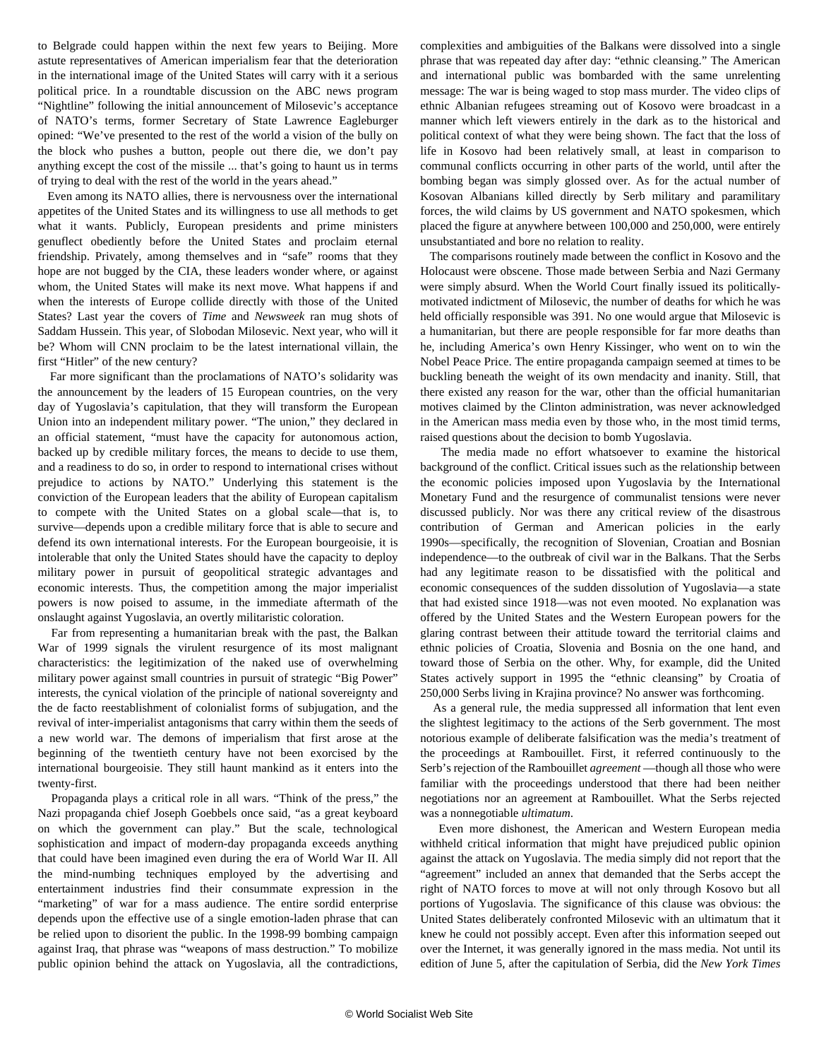to Belgrade could happen within the next few years to Beijing. More astute representatives of American imperialism fear that the deterioration in the international image of the United States will carry with it a serious political price. In a roundtable discussion on the ABC news program "Nightline" following the initial announcement of Milosevic's acceptance of NATO's terms, former Secretary of State Lawrence Eagleburger opined: "We've presented to the rest of the world a vision of the bully on the block who pushes a button, people out there die, we don't pay anything except the cost of the missile ... that's going to haunt us in terms of trying to deal with the rest of the world in the years ahead."

 Even among its NATO allies, there is nervousness over the international appetites of the United States and its willingness to use all methods to get what it wants. Publicly, European presidents and prime ministers genuflect obediently before the United States and proclaim eternal friendship. Privately, among themselves and in "safe" rooms that they hope are not bugged by the CIA, these leaders wonder where, or against whom, the United States will make its next move. What happens if and when the interests of Europe collide directly with those of the United States? Last year the covers of *Time* and *Newsweek* ran mug shots of Saddam Hussein. This year, of Slobodan Milosevic. Next year, who will it be? Whom will CNN proclaim to be the latest international villain, the first "Hitler" of the new century?

 Far more significant than the proclamations of NATO's solidarity was the announcement by the leaders of 15 European countries, on the very day of Yugoslavia's capitulation, that they will transform the European Union into an independent military power. "The union," they declared in an official statement, "must have the capacity for autonomous action, backed up by credible military forces, the means to decide to use them, and a readiness to do so, in order to respond to international crises without prejudice to actions by NATO." Underlying this statement is the conviction of the European leaders that the ability of European capitalism to compete with the United States on a global scale—that is, to survive—depends upon a credible military force that is able to secure and defend its own international interests. For the European bourgeoisie, it is intolerable that only the United States should have the capacity to deploy military power in pursuit of geopolitical strategic advantages and economic interests. Thus, the competition among the major imperialist powers is now poised to assume, in the immediate aftermath of the onslaught against Yugoslavia, an overtly militaristic coloration.

 Far from representing a humanitarian break with the past, the Balkan War of 1999 signals the virulent resurgence of its most malignant characteristics: the legitimization of the naked use of overwhelming military power against small countries in pursuit of strategic "Big Power" interests, the cynical violation of the principle of national sovereignty and the de facto reestablishment of colonialist forms of subjugation, and the revival of inter-imperialist antagonisms that carry within them the seeds of a new world war. The demons of imperialism that first arose at the beginning of the twentieth century have not been exorcised by the international bourgeoisie. They still haunt mankind as it enters into the twenty-first.

 Propaganda plays a critical role in all wars. "Think of the press," the Nazi propaganda chief Joseph Goebbels once said, "as a great keyboard on which the government can play." But the scale, technological sophistication and impact of modern-day propaganda exceeds anything that could have been imagined even during the era of World War II. All the mind-numbing techniques employed by the advertising and entertainment industries find their consummate expression in the "marketing" of war for a mass audience. The entire sordid enterprise depends upon the effective use of a single emotion-laden phrase that can be relied upon to disorient the public. In the 1998-99 bombing campaign against Iraq, that phrase was "weapons of mass destruction." To mobilize public opinion behind the attack on Yugoslavia, all the contradictions,

complexities and ambiguities of the Balkans were dissolved into a single phrase that was repeated day after day: "ethnic cleansing." The American and international public was bombarded with the same unrelenting message: The war is being waged to stop mass murder. The video clips of ethnic Albanian refugees streaming out of Kosovo were broadcast in a manner which left viewers entirely in the dark as to the historical and political context of what they were being shown. The fact that the loss of life in Kosovo had been relatively small, at least in comparison to communal conflicts occurring in other parts of the world, until after the bombing began was simply glossed over. As for the actual number of Kosovan Albanians killed directly by Serb military and paramilitary forces, the wild claims by US government and NATO spokesmen, which placed the figure at anywhere between 100,000 and 250,000, were entirely unsubstantiated and bore no relation to reality.

 The comparisons routinely made between the conflict in Kosovo and the Holocaust were obscene. Those made between Serbia and Nazi Germany were simply absurd. When the World Court finally issued its politicallymotivated indictment of Milosevic, the number of deaths for which he was held officially responsible was 391. No one would argue that Milosevic is a humanitarian, but there are people responsible for far more deaths than he, including America's own Henry Kissinger, who went on to win the Nobel Peace Price. The entire propaganda campaign seemed at times to be buckling beneath the weight of its own mendacity and inanity. Still, that there existed any reason for the war, other than the official humanitarian motives claimed by the Clinton administration, was never acknowledged in the American mass media even by those who, in the most timid terms, raised questions about the decision to bomb Yugoslavia.

 The media made no effort whatsoever to examine the historical background of the conflict. Critical issues such as the relationship between the economic policies imposed upon Yugoslavia by the International Monetary Fund and the resurgence of communalist tensions were never discussed publicly. Nor was there any critical review of the disastrous contribution of German and American policies in the early 1990s—specifically, the recognition of Slovenian, Croatian and Bosnian independence—to the outbreak of civil war in the Balkans. That the Serbs had any legitimate reason to be dissatisfied with the political and economic consequences of the sudden dissolution of Yugoslavia—a state that had existed since 1918—was not even mooted. No explanation was offered by the United States and the Western European powers for the glaring contrast between their attitude toward the territorial claims and ethnic policies of Croatia, Slovenia and Bosnia on the one hand, and toward those of Serbia on the other. Why, for example, did the United States actively support in 1995 the "ethnic cleansing" by Croatia of 250,000 Serbs living in Krajina province? No answer was forthcoming.

 As a general rule, the media suppressed all information that lent even the slightest legitimacy to the actions of the Serb government. The most notorious example of deliberate falsification was the media's treatment of the proceedings at Rambouillet. First, it referred continuously to the Serb's rejection of the Rambouillet *agreement* —though all those who were familiar with the proceedings understood that there had been neither negotiations nor an agreement at Rambouillet. What the Serbs rejected was a nonnegotiable *ultimatum*.

 Even more dishonest, the American and Western European media withheld critical information that might have prejudiced public opinion against the attack on Yugoslavia. The media simply did not report that the "agreement" included an annex that demanded that the Serbs accept the right of NATO forces to move at will not only through Kosovo but all portions of Yugoslavia. The significance of this clause was obvious: the United States deliberately confronted Milosevic with an ultimatum that it knew he could not possibly accept. Even after this information seeped out over the Internet, it was generally ignored in the mass media. Not until its edition of June 5, after the capitulation of Serbia, did the *New York Times*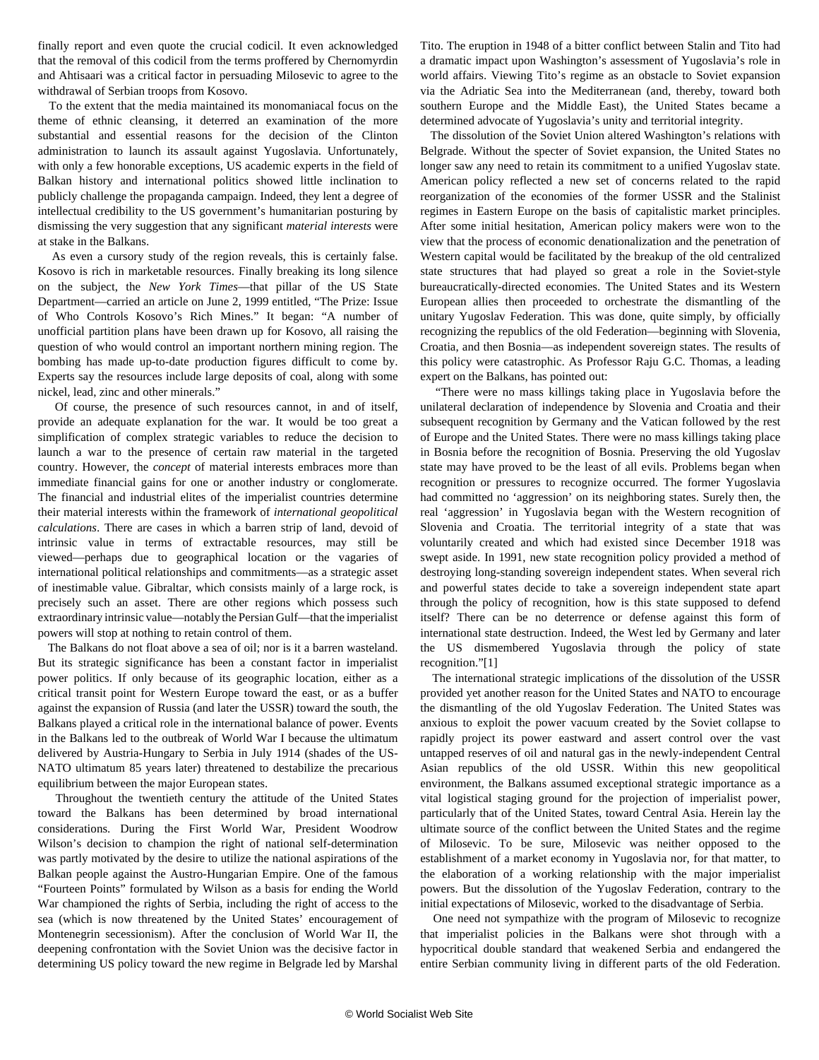finally report and even quote the crucial codicil. It even acknowledged that the removal of this codicil from the terms proffered by Chernomyrdin and Ahtisaari was a critical factor in persuading Milosevic to agree to the withdrawal of Serbian troops from Kosovo.

 To the extent that the media maintained its monomaniacal focus on the theme of ethnic cleansing, it deterred an examination of the more substantial and essential reasons for the decision of the Clinton administration to launch its assault against Yugoslavia. Unfortunately, with only a few honorable exceptions, US academic experts in the field of Balkan history and international politics showed little inclination to publicly challenge the propaganda campaign. Indeed, they lent a degree of intellectual credibility to the US government's humanitarian posturing by dismissing the very suggestion that any significant *material interests* were at stake in the Balkans.

 As even a cursory study of the region reveals, this is certainly false. Kosovo is rich in marketable resources. Finally breaking its long silence on the subject, the *New York Times*—that pillar of the US State Department—carried an article on June 2, 1999 entitled, "The Prize: Issue of Who Controls Kosovo's Rich Mines." It began: "A number of unofficial partition plans have been drawn up for Kosovo, all raising the question of who would control an important northern mining region. The bombing has made up-to-date production figures difficult to come by. Experts say the resources include large deposits of coal, along with some nickel, lead, zinc and other minerals."

 Of course, the presence of such resources cannot, in and of itself, provide an adequate explanation for the war. It would be too great a simplification of complex strategic variables to reduce the decision to launch a war to the presence of certain raw material in the targeted country. However, the *concept* of material interests embraces more than immediate financial gains for one or another industry or conglomerate. The financial and industrial elites of the imperialist countries determine their material interests within the framework of *international geopolitical calculations*. There are cases in which a barren strip of land, devoid of intrinsic value in terms of extractable resources, may still be viewed—perhaps due to geographical location or the vagaries of international political relationships and commitments—as a strategic asset of inestimable value. Gibraltar, which consists mainly of a large rock, is precisely such an asset. There are other regions which possess such extraordinary intrinsic value—notably the Persian Gulf—that the imperialist powers will stop at nothing to retain control of them.

 The Balkans do not float above a sea of oil; nor is it a barren wasteland. But its strategic significance has been a constant factor in imperialist power politics. If only because of its geographic location, either as a critical transit point for Western Europe toward the east, or as a buffer against the expansion of Russia (and later the USSR) toward the south, the Balkans played a critical role in the international balance of power. Events in the Balkans led to the outbreak of World War I because the ultimatum delivered by Austria-Hungary to Serbia in July 1914 (shades of the US-NATO ultimatum 85 years later) threatened to destabilize the precarious equilibrium between the major European states.

 Throughout the twentieth century the attitude of the United States toward the Balkans has been determined by broad international considerations. During the First World War, President Woodrow Wilson's decision to champion the right of national self-determination was partly motivated by the desire to utilize the national aspirations of the Balkan people against the Austro-Hungarian Empire. One of the famous "Fourteen Points" formulated by Wilson as a basis for ending the World War championed the rights of Serbia, including the right of access to the sea (which is now threatened by the United States' encouragement of Montenegrin secessionism). After the conclusion of World War II, the deepening confrontation with the Soviet Union was the decisive factor in determining US policy toward the new regime in Belgrade led by Marshal Tito. The eruption in 1948 of a bitter conflict between Stalin and Tito had a dramatic impact upon Washington's assessment of Yugoslavia's role in world affairs. Viewing Tito's regime as an obstacle to Soviet expansion via the Adriatic Sea into the Mediterranean (and, thereby, toward both southern Europe and the Middle East), the United States became a determined advocate of Yugoslavia's unity and territorial integrity.

 The dissolution of the Soviet Union altered Washington's relations with Belgrade. Without the specter of Soviet expansion, the United States no longer saw any need to retain its commitment to a unified Yugoslav state. American policy reflected a new set of concerns related to the rapid reorganization of the economies of the former USSR and the Stalinist regimes in Eastern Europe on the basis of capitalistic market principles. After some initial hesitation, American policy makers were won to the view that the process of economic denationalization and the penetration of Western capital would be facilitated by the breakup of the old centralized state structures that had played so great a role in the Soviet-style bureaucratically-directed economies. The United States and its Western European allies then proceeded to orchestrate the dismantling of the unitary Yugoslav Federation. This was done, quite simply, by officially recognizing the republics of the old Federation—beginning with Slovenia, Croatia, and then Bosnia—as independent sovereign states. The results of this policy were catastrophic. As Professor Raju G.C. Thomas, a leading expert on the Balkans, has pointed out:

 "There were no mass killings taking place in Yugoslavia before the unilateral declaration of independence by Slovenia and Croatia and their subsequent recognition by Germany and the Vatican followed by the rest of Europe and the United States. There were no mass killings taking place in Bosnia before the recognition of Bosnia. Preserving the old Yugoslav state may have proved to be the least of all evils. Problems began when recognition or pressures to recognize occurred. The former Yugoslavia had committed no 'aggression' on its neighboring states. Surely then, the real 'aggression' in Yugoslavia began with the Western recognition of Slovenia and Croatia. The territorial integrity of a state that was voluntarily created and which had existed since December 1918 was swept aside. In 1991, new state recognition policy provided a method of destroying long-standing sovereign independent states. When several rich and powerful states decide to take a sovereign independent state apart through the policy of recognition, how is this state supposed to defend itself? There can be no deterrence or defense against this form of international state destruction. Indeed, the West led by Germany and later the US dismembered Yugoslavia through the policy of state recognition."[1]

 The international strategic implications of the dissolution of the USSR provided yet another reason for the United States and NATO to encourage the dismantling of the old Yugoslav Federation. The United States was anxious to exploit the power vacuum created by the Soviet collapse to rapidly project its power eastward and assert control over the vast untapped reserves of oil and natural gas in the newly-independent Central Asian republics of the old USSR. Within this new geopolitical environment, the Balkans assumed exceptional strategic importance as a vital logistical staging ground for the projection of imperialist power, particularly that of the United States, toward Central Asia. Herein lay the ultimate source of the conflict between the United States and the regime of Milosevic. To be sure, Milosevic was neither opposed to the establishment of a market economy in Yugoslavia nor, for that matter, to the elaboration of a working relationship with the major imperialist powers. But the dissolution of the Yugoslav Federation, contrary to the initial expectations of Milosevic, worked to the disadvantage of Serbia.

 One need not sympathize with the program of Milosevic to recognize that imperialist policies in the Balkans were shot through with a hypocritical double standard that weakened Serbia and endangered the entire Serbian community living in different parts of the old Federation.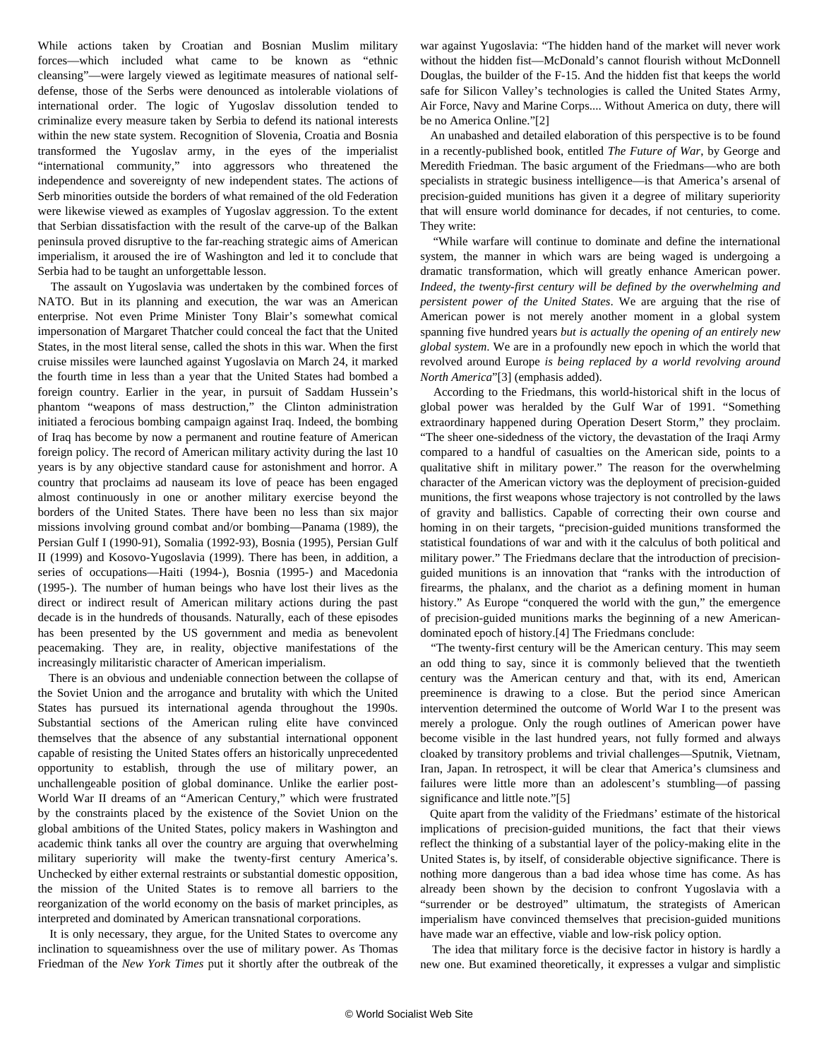While actions taken by Croatian and Bosnian Muslim military forces—which included what came to be known as "ethnic cleansing"—were largely viewed as legitimate measures of national selfdefense, those of the Serbs were denounced as intolerable violations of international order. The logic of Yugoslav dissolution tended to criminalize every measure taken by Serbia to defend its national interests within the new state system. Recognition of Slovenia, Croatia and Bosnia transformed the Yugoslav army, in the eyes of the imperialist "international community," into aggressors who threatened the independence and sovereignty of new independent states. The actions of Serb minorities outside the borders of what remained of the old Federation were likewise viewed as examples of Yugoslav aggression. To the extent that Serbian dissatisfaction with the result of the carve-up of the Balkan peninsula proved disruptive to the far-reaching strategic aims of American imperialism, it aroused the ire of Washington and led it to conclude that Serbia had to be taught an unforgettable lesson.

 The assault on Yugoslavia was undertaken by the combined forces of NATO. But in its planning and execution, the war was an American enterprise. Not even Prime Minister Tony Blair's somewhat comical impersonation of Margaret Thatcher could conceal the fact that the United States, in the most literal sense, called the shots in this war. When the first cruise missiles were launched against Yugoslavia on March 24, it marked the fourth time in less than a year that the United States had bombed a foreign country. Earlier in the year, in pursuit of Saddam Hussein's phantom "weapons of mass destruction," the Clinton administration initiated a ferocious bombing campaign against Iraq. Indeed, the bombing of Iraq has become by now a permanent and routine feature of American foreign policy. The record of American military activity during the last 10 years is by any objective standard cause for astonishment and horror. A country that proclaims ad nauseam its love of peace has been engaged almost continuously in one or another military exercise beyond the borders of the United States. There have been no less than six major missions involving ground combat and/or bombing—Panama (1989), the Persian Gulf I (1990-91), Somalia (1992-93), Bosnia (1995), Persian Gulf II (1999) and Kosovo-Yugoslavia (1999). There has been, in addition, a series of occupations—Haiti (1994-), Bosnia (1995-) and Macedonia (1995-). The number of human beings who have lost their lives as the direct or indirect result of American military actions during the past decade is in the hundreds of thousands. Naturally, each of these episodes has been presented by the US government and media as benevolent peacemaking. They are, in reality, objective manifestations of the increasingly militaristic character of American imperialism.

 There is an obvious and undeniable connection between the collapse of the Soviet Union and the arrogance and brutality with which the United States has pursued its international agenda throughout the 1990s. Substantial sections of the American ruling elite have convinced themselves that the absence of any substantial international opponent capable of resisting the United States offers an historically unprecedented opportunity to establish, through the use of military power, an unchallengeable position of global dominance. Unlike the earlier post-World War II dreams of an "American Century," which were frustrated by the constraints placed by the existence of the Soviet Union on the global ambitions of the United States, policy makers in Washington and academic think tanks all over the country are arguing that overwhelming military superiority will make the twenty-first century America's. Unchecked by either external restraints or substantial domestic opposition, the mission of the United States is to remove all barriers to the reorganization of the world economy on the basis of market principles, as interpreted and dominated by American transnational corporations.

 It is only necessary, they argue, for the United States to overcome any inclination to squeamishness over the use of military power. As Thomas Friedman of the *New York Times* put it shortly after the outbreak of the war against Yugoslavia: "The hidden hand of the market will never work without the hidden fist—McDonald's cannot flourish without McDonnell Douglas, the builder of the F-15. And the hidden fist that keeps the world safe for Silicon Valley's technologies is called the United States Army, Air Force, Navy and Marine Corps.... Without America on duty, there will be no America Online."[2]

 An unabashed and detailed elaboration of this perspective is to be found in a recently-published book, entitled *The Future of War*, by George and Meredith Friedman. The basic argument of the Friedmans—who are both specialists in strategic business intelligence—is that America's arsenal of precision-guided munitions has given it a degree of military superiority that will ensure world dominance for decades, if not centuries, to come. They write:

 "While warfare will continue to dominate and define the international system, the manner in which wars are being waged is undergoing a dramatic transformation, which will greatly enhance American power. *Indeed, the twenty-first century will be defined by the overwhelming and persistent power of the United States*. We are arguing that the rise of American power is not merely another moment in a global system spanning five hundred years *but is actually the opening of an entirely new global system*. We are in a profoundly new epoch in which the world that revolved around Europe *is being replaced by a world revolving around North America*"[3] (emphasis added).

 According to the Friedmans, this world-historical shift in the locus of global power was heralded by the Gulf War of 1991. "Something extraordinary happened during Operation Desert Storm," they proclaim. "The sheer one-sidedness of the victory, the devastation of the Iraqi Army compared to a handful of casualties on the American side, points to a qualitative shift in military power." The reason for the overwhelming character of the American victory was the deployment of precision-guided munitions, the first weapons whose trajectory is not controlled by the laws of gravity and ballistics. Capable of correcting their own course and homing in on their targets, "precision-guided munitions transformed the statistical foundations of war and with it the calculus of both political and military power." The Friedmans declare that the introduction of precisionguided munitions is an innovation that "ranks with the introduction of firearms, the phalanx, and the chariot as a defining moment in human history." As Europe "conquered the world with the gun," the emergence of precision-guided munitions marks the beginning of a new Americandominated epoch of history.[4] The Friedmans conclude:

 "The twenty-first century will be the American century. This may seem an odd thing to say, since it is commonly believed that the twentieth century was the American century and that, with its end, American preeminence is drawing to a close. But the period since American intervention determined the outcome of World War I to the present was merely a prologue. Only the rough outlines of American power have become visible in the last hundred years, not fully formed and always cloaked by transitory problems and trivial challenges—Sputnik, Vietnam, Iran, Japan. In retrospect, it will be clear that America's clumsiness and failures were little more than an adolescent's stumbling—of passing significance and little note."[5]

 Quite apart from the validity of the Friedmans' estimate of the historical implications of precision-guided munitions, the fact that their views reflect the thinking of a substantial layer of the policy-making elite in the United States is, by itself, of considerable objective significance. There is nothing more dangerous than a bad idea whose time has come. As has already been shown by the decision to confront Yugoslavia with a "surrender or be destroyed" ultimatum, the strategists of American imperialism have convinced themselves that precision-guided munitions have made war an effective, viable and low-risk policy option.

 The idea that military force is the decisive factor in history is hardly a new one. But examined theoretically, it expresses a vulgar and simplistic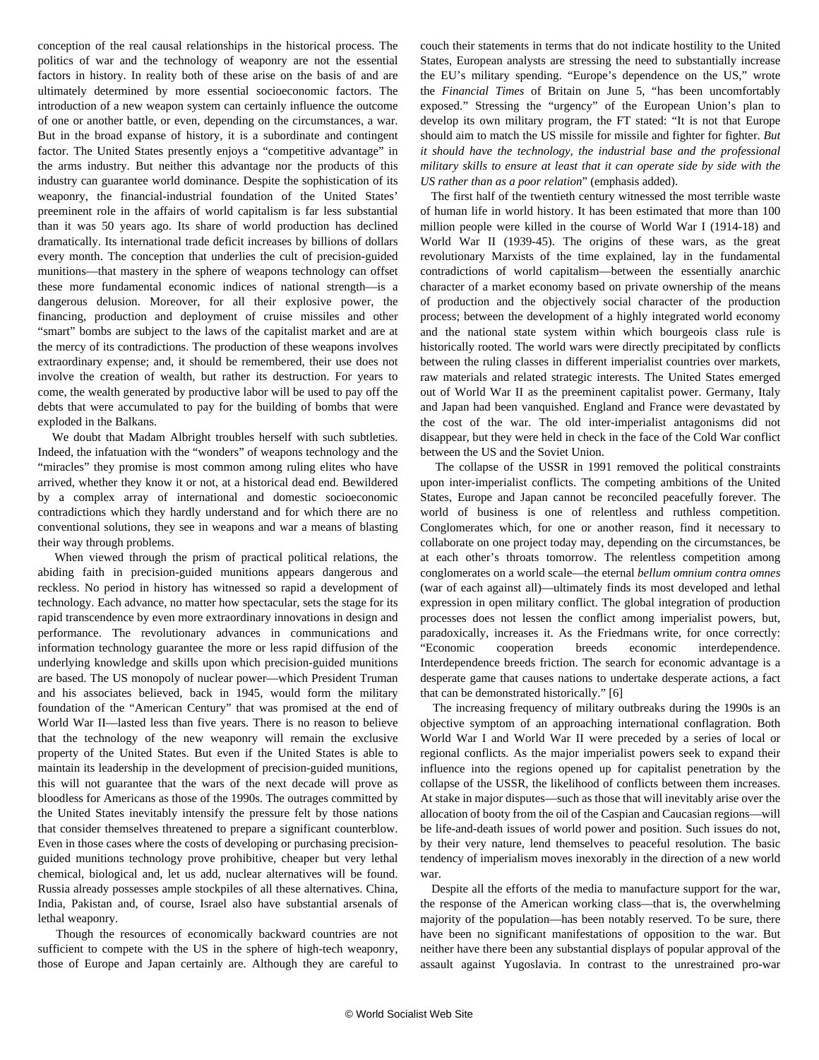conception of the real causal relationships in the historical process. The politics of war and the technology of weaponry are not the essential factors in history. In reality both of these arise on the basis of and are ultimately determined by more essential socioeconomic factors. The introduction of a new weapon system can certainly influence the outcome of one or another battle, or even, depending on the circumstances, a war. But in the broad expanse of history, it is a subordinate and contingent factor. The United States presently enjoys a "competitive advantage" in the arms industry. But neither this advantage nor the products of this industry can guarantee world dominance. Despite the sophistication of its weaponry, the financial-industrial foundation of the United States' preeminent role in the affairs of world capitalism is far less substantial than it was 50 years ago. Its share of world production has declined dramatically. Its international trade deficit increases by billions of dollars every month. The conception that underlies the cult of precision-guided munitions—that mastery in the sphere of weapons technology can offset these more fundamental economic indices of national strength—is a dangerous delusion. Moreover, for all their explosive power, the financing, production and deployment of cruise missiles and other "smart" bombs are subject to the laws of the capitalist market and are at the mercy of its contradictions. The production of these weapons involves extraordinary expense; and, it should be remembered, their use does not involve the creation of wealth, but rather its destruction. For years to come, the wealth generated by productive labor will be used to pay off the debts that were accumulated to pay for the building of bombs that were exploded in the Balkans.

 We doubt that Madam Albright troubles herself with such subtleties. Indeed, the infatuation with the "wonders" of weapons technology and the "miracles" they promise is most common among ruling elites who have arrived, whether they know it or not, at a historical dead end. Bewildered by a complex array of international and domestic socioeconomic contradictions which they hardly understand and for which there are no conventional solutions, they see in weapons and war a means of blasting their way through problems.

 When viewed through the prism of practical political relations, the abiding faith in precision-guided munitions appears dangerous and reckless. No period in history has witnessed so rapid a development of technology. Each advance, no matter how spectacular, sets the stage for its rapid transcendence by even more extraordinary innovations in design and performance. The revolutionary advances in communications and information technology guarantee the more or less rapid diffusion of the underlying knowledge and skills upon which precision-guided munitions are based. The US monopoly of nuclear power—which President Truman and his associates believed, back in 1945, would form the military foundation of the "American Century" that was promised at the end of World War II—lasted less than five years. There is no reason to believe that the technology of the new weaponry will remain the exclusive property of the United States. But even if the United States is able to maintain its leadership in the development of precision-guided munitions, this will not guarantee that the wars of the next decade will prove as bloodless for Americans as those of the 1990s. The outrages committed by the United States inevitably intensify the pressure felt by those nations that consider themselves threatened to prepare a significant counterblow. Even in those cases where the costs of developing or purchasing precisionguided munitions technology prove prohibitive, cheaper but very lethal chemical, biological and, let us add, nuclear alternatives will be found. Russia already possesses ample stockpiles of all these alternatives. China, India, Pakistan and, of course, Israel also have substantial arsenals of lethal weaponry.

 Though the resources of economically backward countries are not sufficient to compete with the US in the sphere of high-tech weaponry, those of Europe and Japan certainly are. Although they are careful to

couch their statements in terms that do not indicate hostility to the United States, European analysts are stressing the need to substantially increase the EU's military spending. "Europe's dependence on the US," wrote the *Financial Times* of Britain on June 5, "has been uncomfortably exposed." Stressing the "urgency" of the European Union's plan to develop its own military program, the FT stated: "It is not that Europe should aim to match the US missile for missile and fighter for fighter. *But it should have the technology, the industrial base and the professional military skills to ensure at least that it can operate side by side with the US rather than as a poor relation*" (emphasis added).

 The first half of the twentieth century witnessed the most terrible waste of human life in world history. It has been estimated that more than 100 million people were killed in the course of World War I (1914-18) and World War II (1939-45). The origins of these wars, as the great revolutionary Marxists of the time explained, lay in the fundamental contradictions of world capitalism—between the essentially anarchic character of a market economy based on private ownership of the means of production and the objectively social character of the production process; between the development of a highly integrated world economy and the national state system within which bourgeois class rule is historically rooted. The world wars were directly precipitated by conflicts between the ruling classes in different imperialist countries over markets, raw materials and related strategic interests. The United States emerged out of World War II as the preeminent capitalist power. Germany, Italy and Japan had been vanquished. England and France were devastated by the cost of the war. The old inter-imperialist antagonisms did not disappear, but they were held in check in the face of the Cold War conflict between the US and the Soviet Union.

 The collapse of the USSR in 1991 removed the political constraints upon inter-imperialist conflicts. The competing ambitions of the United States, Europe and Japan cannot be reconciled peacefully forever. The world of business is one of relentless and ruthless competition. Conglomerates which, for one or another reason, find it necessary to collaborate on one project today may, depending on the circumstances, be at each other's throats tomorrow. The relentless competition among conglomerates on a world scale—the eternal *bellum omnium contra omnes* (war of each against all)—ultimately finds its most developed and lethal expression in open military conflict. The global integration of production processes does not lessen the conflict among imperialist powers, but, paradoxically, increases it. As the Friedmans write, for once correctly: "Economic cooperation breeds economic interdependence. Interdependence breeds friction. The search for economic advantage is a desperate game that causes nations to undertake desperate actions, a fact that can be demonstrated historically." [6]

 The increasing frequency of military outbreaks during the 1990s is an objective symptom of an approaching international conflagration. Both World War I and World War II were preceded by a series of local or regional conflicts. As the major imperialist powers seek to expand their influence into the regions opened up for capitalist penetration by the collapse of the USSR, the likelihood of conflicts between them increases. At stake in major disputes—such as those that will inevitably arise over the allocation of booty from the oil of the Caspian and Caucasian regions—will be life-and-death issues of world power and position. Such issues do not, by their very nature, lend themselves to peaceful resolution. The basic tendency of imperialism moves inexorably in the direction of a new world war.

 Despite all the efforts of the media to manufacture support for the war, the response of the American working class—that is, the overwhelming majority of the population—has been notably reserved. To be sure, there have been no significant manifestations of opposition to the war. But neither have there been any substantial displays of popular approval of the assault against Yugoslavia. In contrast to the unrestrained pro-war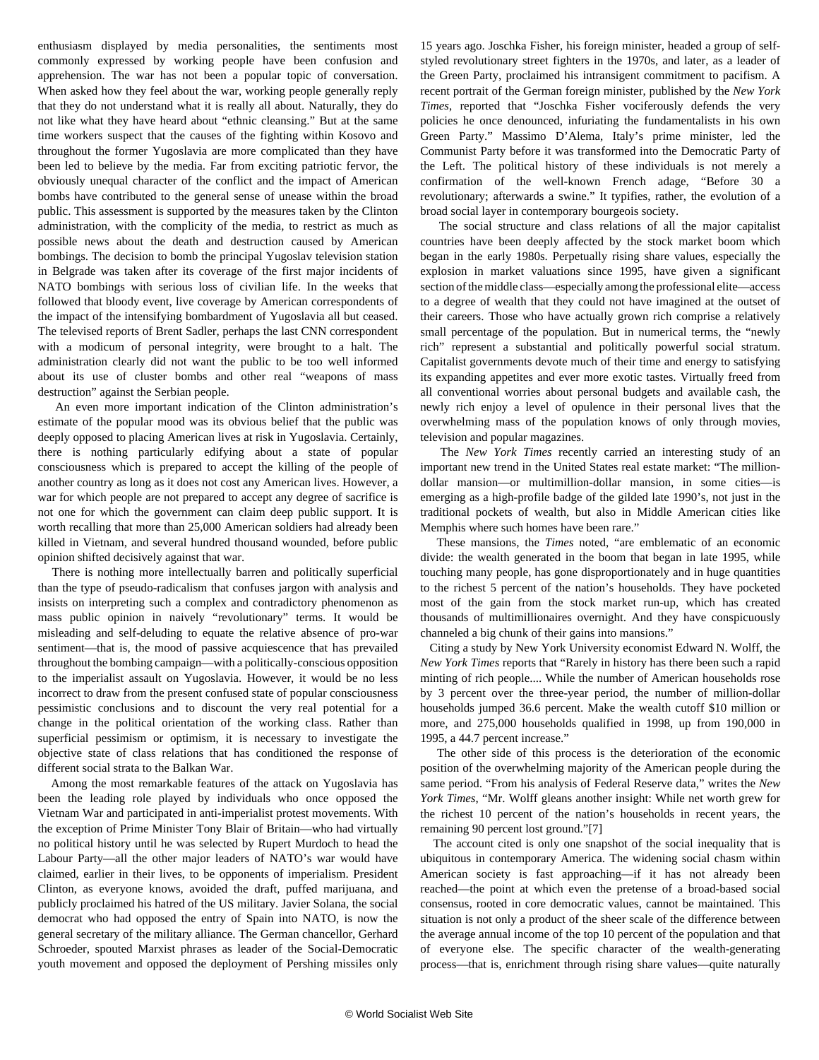enthusiasm displayed by media personalities, the sentiments most commonly expressed by working people have been confusion and apprehension. The war has not been a popular topic of conversation. When asked how they feel about the war, working people generally reply that they do not understand what it is really all about. Naturally, they do not like what they have heard about "ethnic cleansing." But at the same time workers suspect that the causes of the fighting within Kosovo and throughout the former Yugoslavia are more complicated than they have been led to believe by the media. Far from exciting patriotic fervor, the obviously unequal character of the conflict and the impact of American bombs have contributed to the general sense of unease within the broad public. This assessment is supported by the measures taken by the Clinton administration, with the complicity of the media, to restrict as much as possible news about the death and destruction caused by American bombings. The decision to bomb the principal Yugoslav television station in Belgrade was taken after its coverage of the first major incidents of NATO bombings with serious loss of civilian life. In the weeks that followed that bloody event, live coverage by American correspondents of the impact of the intensifying bombardment of Yugoslavia all but ceased. The televised reports of Brent Sadler, perhaps the last CNN correspondent with a modicum of personal integrity, were brought to a halt. The administration clearly did not want the public to be too well informed about its use of cluster bombs and other real "weapons of mass destruction" against the Serbian people.

 An even more important indication of the Clinton administration's estimate of the popular mood was its obvious belief that the public was deeply opposed to placing American lives at risk in Yugoslavia. Certainly, there is nothing particularly edifying about a state of popular consciousness which is prepared to accept the killing of the people of another country as long as it does not cost any American lives. However, a war for which people are not prepared to accept any degree of sacrifice is not one for which the government can claim deep public support. It is worth recalling that more than 25,000 American soldiers had already been killed in Vietnam, and several hundred thousand wounded, before public opinion shifted decisively against that war.

 There is nothing more intellectually barren and politically superficial than the type of pseudo-radicalism that confuses jargon with analysis and insists on interpreting such a complex and contradictory phenomenon as mass public opinion in naively "revolutionary" terms. It would be misleading and self-deluding to equate the relative absence of pro-war sentiment—that is, the mood of passive acquiescence that has prevailed throughout the bombing campaign—with a politically-conscious opposition to the imperialist assault on Yugoslavia. However, it would be no less incorrect to draw from the present confused state of popular consciousness pessimistic conclusions and to discount the very real potential for a change in the political orientation of the working class. Rather than superficial pessimism or optimism, it is necessary to investigate the objective state of class relations that has conditioned the response of different social strata to the Balkan War.

 Among the most remarkable features of the attack on Yugoslavia has been the leading role played by individuals who once opposed the Vietnam War and participated in anti-imperialist protest movements. With the exception of Prime Minister Tony Blair of Britain—who had virtually no political history until he was selected by Rupert Murdoch to head the Labour Party—all the other major leaders of NATO's war would have claimed, earlier in their lives, to be opponents of imperialism. President Clinton, as everyone knows, avoided the draft, puffed marijuana, and publicly proclaimed his hatred of the US military. Javier Solana, the social democrat who had opposed the entry of Spain into NATO, is now the general secretary of the military alliance. The German chancellor, Gerhard Schroeder, spouted Marxist phrases as leader of the Social-Democratic youth movement and opposed the deployment of Pershing missiles only 15 years ago. Joschka Fisher, his foreign minister, headed a group of selfstyled revolutionary street fighters in the 1970s, and later, as a leader of the Green Party, proclaimed his intransigent commitment to pacifism. A recent portrait of the German foreign minister, published by the *New York Times*, reported that "Joschka Fisher vociferously defends the very policies he once denounced, infuriating the fundamentalists in his own Green Party." Massimo D'Alema, Italy's prime minister, led the Communist Party before it was transformed into the Democratic Party of the Left. The political history of these individuals is not merely a confirmation of the well-known French adage, "Before 30 a revolutionary; afterwards a swine." It typifies, rather, the evolution of a broad social layer in contemporary bourgeois society.

 The social structure and class relations of all the major capitalist countries have been deeply affected by the stock market boom which began in the early 1980s. Perpetually rising share values, especially the explosion in market valuations since 1995, have given a significant section of the middle class—especially among the professional elite—access to a degree of wealth that they could not have imagined at the outset of their careers. Those who have actually grown rich comprise a relatively small percentage of the population. But in numerical terms, the "newly rich" represent a substantial and politically powerful social stratum. Capitalist governments devote much of their time and energy to satisfying its expanding appetites and ever more exotic tastes. Virtually freed from all conventional worries about personal budgets and available cash, the newly rich enjoy a level of opulence in their personal lives that the overwhelming mass of the population knows of only through movies, television and popular magazines.

 The *New York Times* recently carried an interesting study of an important new trend in the United States real estate market: "The milliondollar mansion—or multimillion-dollar mansion, in some cities—is emerging as a high-profile badge of the gilded late 1990's, not just in the traditional pockets of wealth, but also in Middle American cities like Memphis where such homes have been rare."

 These mansions, the *Times* noted, "are emblematic of an economic divide: the wealth generated in the boom that began in late 1995, while touching many people, has gone disproportionately and in huge quantities to the richest 5 percent of the nation's households. They have pocketed most of the gain from the stock market run-up, which has created thousands of multimillionaires overnight. And they have conspicuously channeled a big chunk of their gains into mansions."

 Citing a study by New York University economist Edward N. Wolff, the *New York Times* reports that "Rarely in history has there been such a rapid minting of rich people.... While the number of American households rose by 3 percent over the three-year period, the number of million-dollar households jumped 36.6 percent. Make the wealth cutoff \$10 million or more, and 275,000 households qualified in 1998, up from 190,000 in 1995, a 44.7 percent increase."

 The other side of this process is the deterioration of the economic position of the overwhelming majority of the American people during the same period. "From his analysis of Federal Reserve data," writes the *New York Times*, "Mr. Wolff gleans another insight: While net worth grew for the richest 10 percent of the nation's households in recent years, the remaining 90 percent lost ground."[7]

 The account cited is only one snapshot of the social inequality that is ubiquitous in contemporary America. The widening social chasm within American society is fast approaching—if it has not already been reached—the point at which even the pretense of a broad-based social consensus, rooted in core democratic values, cannot be maintained. This situation is not only a product of the sheer scale of the difference between the average annual income of the top 10 percent of the population and that of everyone else. The specific character of the wealth-generating process—that is, enrichment through rising share values—quite naturally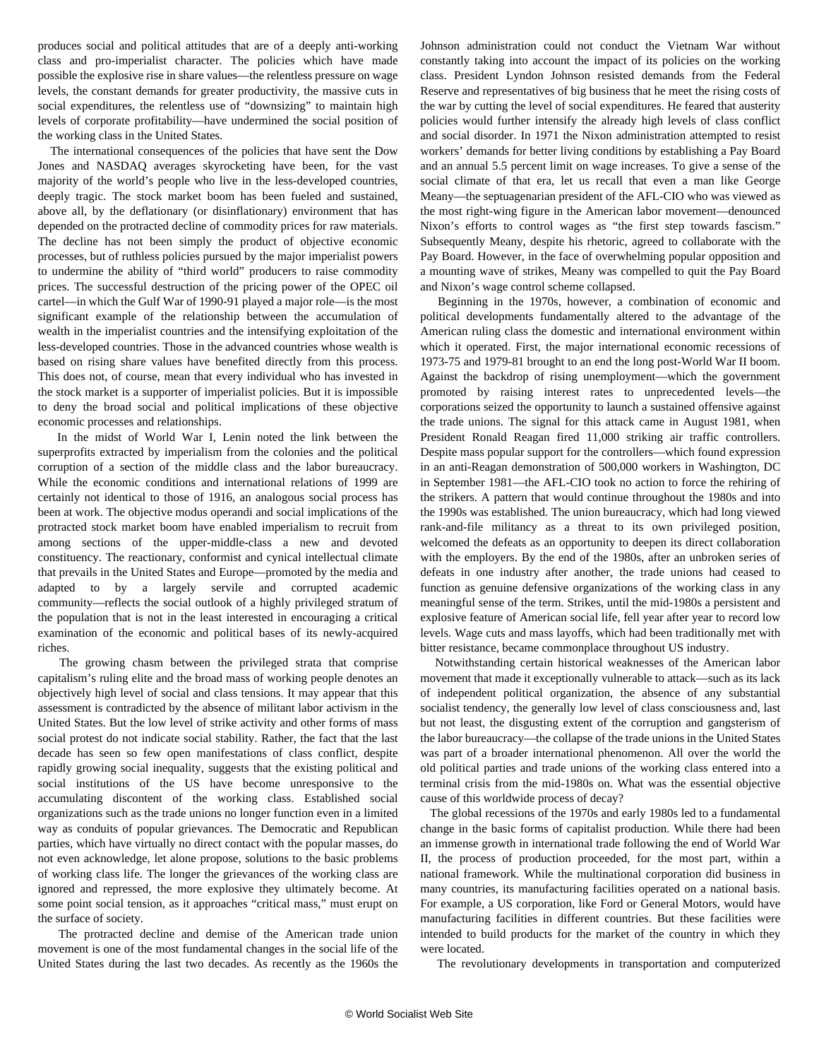produces social and political attitudes that are of a deeply anti-working class and pro-imperialist character. The policies which have made possible the explosive rise in share values—the relentless pressure on wage levels, the constant demands for greater productivity, the massive cuts in social expenditures, the relentless use of "downsizing" to maintain high levels of corporate profitability—have undermined the social position of the working class in the United States.

 The international consequences of the policies that have sent the Dow Jones and NASDAQ averages skyrocketing have been, for the vast majority of the world's people who live in the less-developed countries, deeply tragic. The stock market boom has been fueled and sustained, above all, by the deflationary (or disinflationary) environment that has depended on the protracted decline of commodity prices for raw materials. The decline has not been simply the product of objective economic processes, but of ruthless policies pursued by the major imperialist powers to undermine the ability of "third world" producers to raise commodity prices. The successful destruction of the pricing power of the OPEC oil cartel—in which the Gulf War of 1990-91 played a major role—is the most significant example of the relationship between the accumulation of wealth in the imperialist countries and the intensifying exploitation of the less-developed countries. Those in the advanced countries whose wealth is based on rising share values have benefited directly from this process. This does not, of course, mean that every individual who has invested in the stock market is a supporter of imperialist policies. But it is impossible to deny the broad social and political implications of these objective economic processes and relationships.

 In the midst of World War I, Lenin noted the link between the superprofits extracted by imperialism from the colonies and the political corruption of a section of the middle class and the labor bureaucracy. While the economic conditions and international relations of 1999 are certainly not identical to those of 1916, an analogous social process has been at work. The objective modus operandi and social implications of the protracted stock market boom have enabled imperialism to recruit from among sections of the upper-middle-class a new and devoted constituency. The reactionary, conformist and cynical intellectual climate that prevails in the United States and Europe—promoted by the media and adapted to by a largely servile and corrupted academic community—reflects the social outlook of a highly privileged stratum of the population that is not in the least interested in encouraging a critical examination of the economic and political bases of its newly-acquired riches.

 The growing chasm between the privileged strata that comprise capitalism's ruling elite and the broad mass of working people denotes an objectively high level of social and class tensions. It may appear that this assessment is contradicted by the absence of militant labor activism in the United States. But the low level of strike activity and other forms of mass social protest do not indicate social stability. Rather, the fact that the last decade has seen so few open manifestations of class conflict, despite rapidly growing social inequality, suggests that the existing political and social institutions of the US have become unresponsive to the accumulating discontent of the working class. Established social organizations such as the trade unions no longer function even in a limited way as conduits of popular grievances. The Democratic and Republican parties, which have virtually no direct contact with the popular masses, do not even acknowledge, let alone propose, solutions to the basic problems of working class life. The longer the grievances of the working class are ignored and repressed, the more explosive they ultimately become. At some point social tension, as it approaches "critical mass," must erupt on the surface of society.

 The protracted decline and demise of the American trade union movement is one of the most fundamental changes in the social life of the United States during the last two decades. As recently as the 1960s the

Johnson administration could not conduct the Vietnam War without constantly taking into account the impact of its policies on the working class. President Lyndon Johnson resisted demands from the Federal Reserve and representatives of big business that he meet the rising costs of the war by cutting the level of social expenditures. He feared that austerity policies would further intensify the already high levels of class conflict and social disorder. In 1971 the Nixon administration attempted to resist workers' demands for better living conditions by establishing a Pay Board and an annual 5.5 percent limit on wage increases. To give a sense of the social climate of that era, let us recall that even a man like George Meany—the septuagenarian president of the AFL-CIO who was viewed as the most right-wing figure in the American labor movement—denounced Nixon's efforts to control wages as "the first step towards fascism." Subsequently Meany, despite his rhetoric, agreed to collaborate with the Pay Board. However, in the face of overwhelming popular opposition and a mounting wave of strikes, Meany was compelled to quit the Pay Board and Nixon's wage control scheme collapsed.

 Beginning in the 1970s, however, a combination of economic and political developments fundamentally altered to the advantage of the American ruling class the domestic and international environment within which it operated. First, the major international economic recessions of 1973-75 and 1979-81 brought to an end the long post-World War II boom. Against the backdrop of rising unemployment—which the government promoted by raising interest rates to unprecedented levels—the corporations seized the opportunity to launch a sustained offensive against the trade unions. The signal for this attack came in August 1981, when President Ronald Reagan fired 11,000 striking air traffic controllers. Despite mass popular support for the controllers—which found expression in an anti-Reagan demonstration of 500,000 workers in Washington, DC in September 1981—the AFL-CIO took no action to force the rehiring of the strikers. A pattern that would continue throughout the 1980s and into the 1990s was established. The union bureaucracy, which had long viewed rank-and-file militancy as a threat to its own privileged position, welcomed the defeats as an opportunity to deepen its direct collaboration with the employers. By the end of the 1980s, after an unbroken series of defeats in one industry after another, the trade unions had ceased to function as genuine defensive organizations of the working class in any meaningful sense of the term. Strikes, until the mid-1980s a persistent and explosive feature of American social life, fell year after year to record low levels. Wage cuts and mass layoffs, which had been traditionally met with bitter resistance, became commonplace throughout US industry.

 Notwithstanding certain historical weaknesses of the American labor movement that made it exceptionally vulnerable to attack—such as its lack of independent political organization, the absence of any substantial socialist tendency, the generally low level of class consciousness and, last but not least, the disgusting extent of the corruption and gangsterism of the labor bureaucracy—the collapse of the trade unions in the United States was part of a broader international phenomenon. All over the world the old political parties and trade unions of the working class entered into a terminal crisis from the mid-1980s on. What was the essential objective cause of this worldwide process of decay?

 The global recessions of the 1970s and early 1980s led to a fundamental change in the basic forms of capitalist production. While there had been an immense growth in international trade following the end of World War II, the process of production proceeded, for the most part, within a national framework. While the multinational corporation did business in many countries, its manufacturing facilities operated on a national basis. For example, a US corporation, like Ford or General Motors, would have manufacturing facilities in different countries. But these facilities were intended to build products for the market of the country in which they were located.

The revolutionary developments in transportation and computerized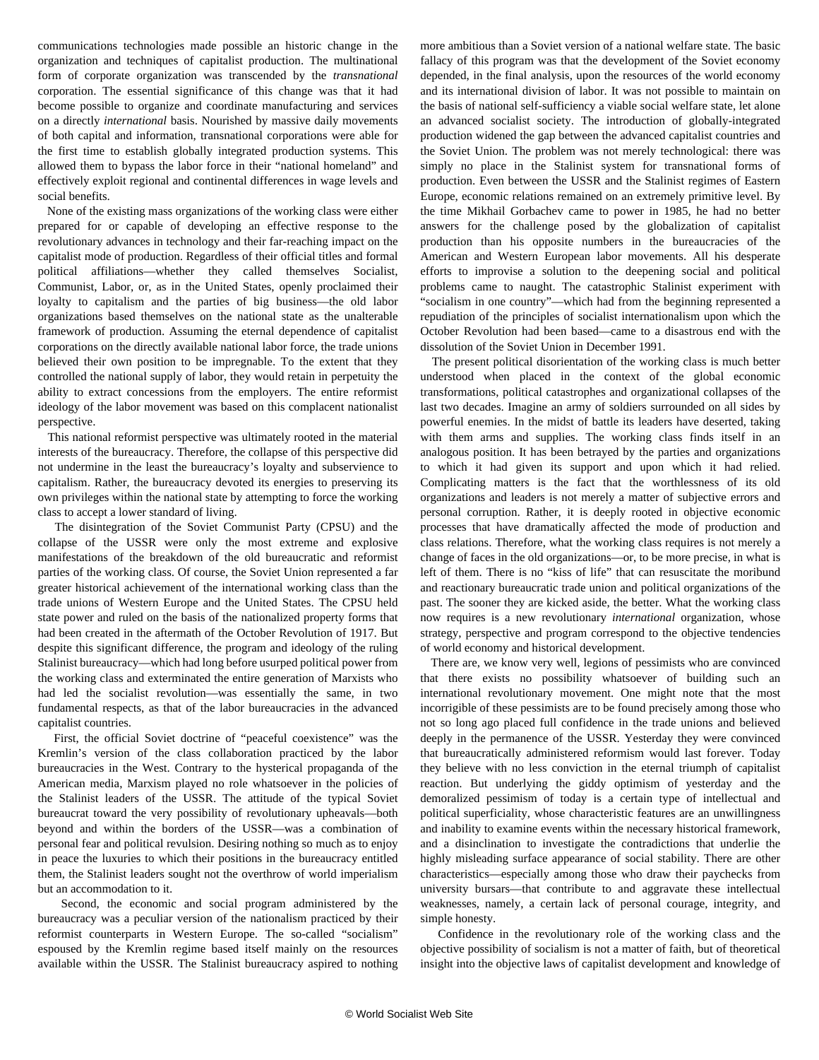communications technologies made possible an historic change in the organization and techniques of capitalist production. The multinational form of corporate organization was transcended by the *transnational* corporation. The essential significance of this change was that it had become possible to organize and coordinate manufacturing and services on a directly *international* basis. Nourished by massive daily movements of both capital and information, transnational corporations were able for the first time to establish globally integrated production systems. This allowed them to bypass the labor force in their "national homeland" and effectively exploit regional and continental differences in wage levels and social benefits.

 None of the existing mass organizations of the working class were either prepared for or capable of developing an effective response to the revolutionary advances in technology and their far-reaching impact on the capitalist mode of production. Regardless of their official titles and formal political affiliations—whether they called themselves Socialist, Communist, Labor, or, as in the United States, openly proclaimed their loyalty to capitalism and the parties of big business—the old labor organizations based themselves on the national state as the unalterable framework of production. Assuming the eternal dependence of capitalist corporations on the directly available national labor force, the trade unions believed their own position to be impregnable. To the extent that they controlled the national supply of labor, they would retain in perpetuity the ability to extract concessions from the employers. The entire reformist ideology of the labor movement was based on this complacent nationalist perspective.

 This national reformist perspective was ultimately rooted in the material interests of the bureaucracy. Therefore, the collapse of this perspective did not undermine in the least the bureaucracy's loyalty and subservience to capitalism. Rather, the bureaucracy devoted its energies to preserving its own privileges within the national state by attempting to force the working class to accept a lower standard of living.

 The disintegration of the Soviet Communist Party (CPSU) and the collapse of the USSR were only the most extreme and explosive manifestations of the breakdown of the old bureaucratic and reformist parties of the working class. Of course, the Soviet Union represented a far greater historical achievement of the international working class than the trade unions of Western Europe and the United States. The CPSU held state power and ruled on the basis of the nationalized property forms that had been created in the aftermath of the October Revolution of 1917. But despite this significant difference, the program and ideology of the ruling Stalinist bureaucracy—which had long before usurped political power from the working class and exterminated the entire generation of Marxists who had led the socialist revolution—was essentially the same, in two fundamental respects, as that of the labor bureaucracies in the advanced capitalist countries.

 First, the official Soviet doctrine of "peaceful coexistence" was the Kremlin's version of the class collaboration practiced by the labor bureaucracies in the West. Contrary to the hysterical propaganda of the American media, Marxism played no role whatsoever in the policies of the Stalinist leaders of the USSR. The attitude of the typical Soviet bureaucrat toward the very possibility of revolutionary upheavals—both beyond and within the borders of the USSR—was a combination of personal fear and political revulsion. Desiring nothing so much as to enjoy in peace the luxuries to which their positions in the bureaucracy entitled them, the Stalinist leaders sought not the overthrow of world imperialism but an accommodation to it.

 Second, the economic and social program administered by the bureaucracy was a peculiar version of the nationalism practiced by their reformist counterparts in Western Europe. The so-called "socialism" espoused by the Kremlin regime based itself mainly on the resources available within the USSR. The Stalinist bureaucracy aspired to nothing more ambitious than a Soviet version of a national welfare state. The basic fallacy of this program was that the development of the Soviet economy depended, in the final analysis, upon the resources of the world economy and its international division of labor. It was not possible to maintain on the basis of national self-sufficiency a viable social welfare state, let alone an advanced socialist society. The introduction of globally-integrated production widened the gap between the advanced capitalist countries and the Soviet Union. The problem was not merely technological: there was simply no place in the Stalinist system for transnational forms of production. Even between the USSR and the Stalinist regimes of Eastern Europe, economic relations remained on an extremely primitive level. By the time Mikhail Gorbachev came to power in 1985, he had no better answers for the challenge posed by the globalization of capitalist production than his opposite numbers in the bureaucracies of the American and Western European labor movements. All his desperate efforts to improvise a solution to the deepening social and political problems came to naught. The catastrophic Stalinist experiment with "socialism in one country"—which had from the beginning represented a repudiation of the principles of socialist internationalism upon which the October Revolution had been based—came to a disastrous end with the dissolution of the Soviet Union in December 1991.

 The present political disorientation of the working class is much better understood when placed in the context of the global economic transformations, political catastrophes and organizational collapses of the last two decades. Imagine an army of soldiers surrounded on all sides by powerful enemies. In the midst of battle its leaders have deserted, taking with them arms and supplies. The working class finds itself in an analogous position. It has been betrayed by the parties and organizations to which it had given its support and upon which it had relied. Complicating matters is the fact that the worthlessness of its old organizations and leaders is not merely a matter of subjective errors and personal corruption. Rather, it is deeply rooted in objective economic processes that have dramatically affected the mode of production and class relations. Therefore, what the working class requires is not merely a change of faces in the old organizations—or, to be more precise, in what is left of them. There is no "kiss of life" that can resuscitate the moribund and reactionary bureaucratic trade union and political organizations of the past. The sooner they are kicked aside, the better. What the working class now requires is a new revolutionary *international* organization, whose strategy, perspective and program correspond to the objective tendencies of world economy and historical development.

 There are, we know very well, legions of pessimists who are convinced that there exists no possibility whatsoever of building such an international revolutionary movement. One might note that the most incorrigible of these pessimists are to be found precisely among those who not so long ago placed full confidence in the trade unions and believed deeply in the permanence of the USSR. Yesterday they were convinced that bureaucratically administered reformism would last forever. Today they believe with no less conviction in the eternal triumph of capitalist reaction. But underlying the giddy optimism of yesterday and the demoralized pessimism of today is a certain type of intellectual and political superficiality, whose characteristic features are an unwillingness and inability to examine events within the necessary historical framework, and a disinclination to investigate the contradictions that underlie the highly misleading surface appearance of social stability. There are other characteristics—especially among those who draw their paychecks from university bursars—that contribute to and aggravate these intellectual weaknesses, namely, a certain lack of personal courage, integrity, and simple honesty.

 Confidence in the revolutionary role of the working class and the objective possibility of socialism is not a matter of faith, but of theoretical insight into the objective laws of capitalist development and knowledge of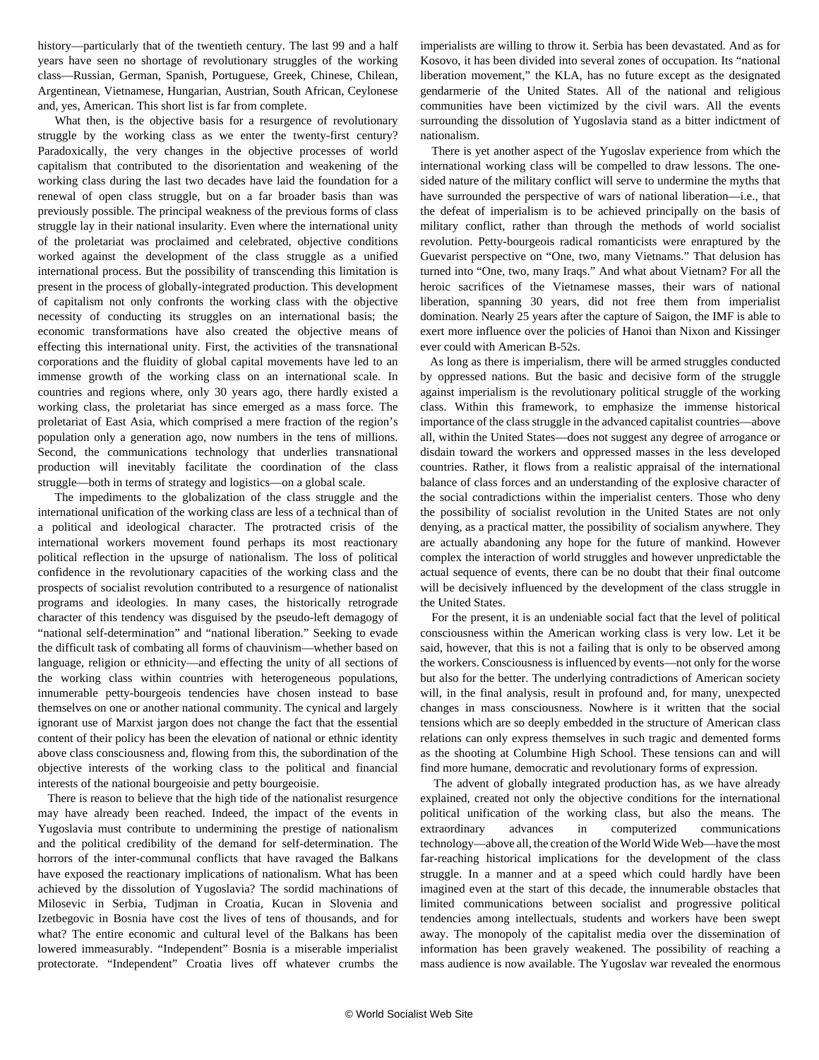history—particularly that of the twentieth century. The last 99 and a half years have seen no shortage of revolutionary struggles of the working class—Russian, German, Spanish, Portuguese, Greek, Chinese, Chilean, Argentinean, Vietnamese, Hungarian, Austrian, South African, Ceylonese and, yes, American. This short list is far from complete.

 What then, is the objective basis for a resurgence of revolutionary struggle by the working class as we enter the twenty-first century? Paradoxically, the very changes in the objective processes of world capitalism that contributed to the disorientation and weakening of the working class during the last two decades have laid the foundation for a renewal of open class struggle, but on a far broader basis than was previously possible. The principal weakness of the previous forms of class struggle lay in their national insularity. Even where the international unity of the proletariat was proclaimed and celebrated, objective conditions worked against the development of the class struggle as a unified international process. But the possibility of transcending this limitation is present in the process of globally-integrated production. This development of capitalism not only confronts the working class with the objective necessity of conducting its struggles on an international basis; the economic transformations have also created the objective means of effecting this international unity. First, the activities of the transnational corporations and the fluidity of global capital movements have led to an immense growth of the working class on an international scale. In countries and regions where, only 30 years ago, there hardly existed a working class, the proletariat has since emerged as a mass force. The proletariat of East Asia, which comprised a mere fraction of the region's population only a generation ago, now numbers in the tens of millions. Second, the communications technology that underlies transnational production will inevitably facilitate the coordination of the class struggle—both in terms of strategy and logistics—on a global scale.

 The impediments to the globalization of the class struggle and the international unification of the working class are less of a technical than of a political and ideological character. The protracted crisis of the international workers movement found perhaps its most reactionary political reflection in the upsurge of nationalism. The loss of political confidence in the revolutionary capacities of the working class and the prospects of socialist revolution contributed to a resurgence of nationalist programs and ideologies. In many cases, the historically retrograde character of this tendency was disguised by the pseudo-left demagogy of "national self-determination" and "national liberation." Seeking to evade the difficult task of combating all forms of chauvinism—whether based on language, religion or ethnicity—and effecting the unity of all sections of the working class within countries with heterogeneous populations, innumerable petty-bourgeois tendencies have chosen instead to base themselves on one or another national community. The cynical and largely ignorant use of Marxist jargon does not change the fact that the essential content of their policy has been the elevation of national or ethnic identity above class consciousness and, flowing from this, the subordination of the objective interests of the working class to the political and financial interests of the national bourgeoisie and petty bourgeoisie.

 There is reason to believe that the high tide of the nationalist resurgence may have already been reached. Indeed, the impact of the events in Yugoslavia must contribute to undermining the prestige of nationalism and the political credibility of the demand for self-determination. The horrors of the inter-communal conflicts that have ravaged the Balkans have exposed the reactionary implications of nationalism. What has been achieved by the dissolution of Yugoslavia? The sordid machinations of Milosevic in Serbia, Tudjman in Croatia, Kucan in Slovenia and Izetbegovic in Bosnia have cost the lives of tens of thousands, and for what? The entire economic and cultural level of the Balkans has been lowered immeasurably. "Independent" Bosnia is a miserable imperialist protectorate. "Independent" Croatia lives off whatever crumbs the imperialists are willing to throw it. Serbia has been devastated. And as for Kosovo, it has been divided into several zones of occupation. Its "national liberation movement," the KLA, has no future except as the designated gendarmerie of the United States. All of the national and religious communities have been victimized by the civil wars. All the events surrounding the dissolution of Yugoslavia stand as a bitter indictment of nationalism.

 There is yet another aspect of the Yugoslav experience from which the international working class will be compelled to draw lessons. The onesided nature of the military conflict will serve to undermine the myths that have surrounded the perspective of wars of national liberation—i.e., that the defeat of imperialism is to be achieved principally on the basis of military conflict, rather than through the methods of world socialist revolution. Petty-bourgeois radical romanticists were enraptured by the Guevarist perspective on "One, two, many Vietnams." That delusion has turned into "One, two, many Iraqs." And what about Vietnam? For all the heroic sacrifices of the Vietnamese masses, their wars of national liberation, spanning 30 years, did not free them from imperialist domination. Nearly 25 years after the capture of Saigon, the IMF is able to exert more influence over the policies of Hanoi than Nixon and Kissinger ever could with American B-52s.

 As long as there is imperialism, there will be armed struggles conducted by oppressed nations. But the basic and decisive form of the struggle against imperialism is the revolutionary political struggle of the working class. Within this framework, to emphasize the immense historical importance of the class struggle in the advanced capitalist countries—above all, within the United States—does not suggest any degree of arrogance or disdain toward the workers and oppressed masses in the less developed countries. Rather, it flows from a realistic appraisal of the international balance of class forces and an understanding of the explosive character of the social contradictions within the imperialist centers. Those who deny the possibility of socialist revolution in the United States are not only denying, as a practical matter, the possibility of socialism anywhere. They are actually abandoning any hope for the future of mankind. However complex the interaction of world struggles and however unpredictable the actual sequence of events, there can be no doubt that their final outcome will be decisively influenced by the development of the class struggle in the United States.

 For the present, it is an undeniable social fact that the level of political consciousness within the American working class is very low. Let it be said, however, that this is not a failing that is only to be observed among the workers. Consciousness is influenced by events—not only for the worse but also for the better. The underlying contradictions of American society will, in the final analysis, result in profound and, for many, unexpected changes in mass consciousness. Nowhere is it written that the social tensions which are so deeply embedded in the structure of American class relations can only express themselves in such tragic and demented forms as the shooting at Columbine High School. These tensions can and will find more humane, democratic and revolutionary forms of expression.

 The advent of globally integrated production has, as we have already explained, created not only the objective conditions for the international political unification of the working class, but also the means. The extraordinary advances in computerized communications technology—above all, the creation of the World Wide Web—have the most far-reaching historical implications for the development of the class struggle. In a manner and at a speed which could hardly have been imagined even at the start of this decade, the innumerable obstacles that limited communications between socialist and progressive political tendencies among intellectuals, students and workers have been swept away. The monopoly of the capitalist media over the dissemination of information has been gravely weakened. The possibility of reaching a mass audience is now available. The Yugoslav war revealed the enormous